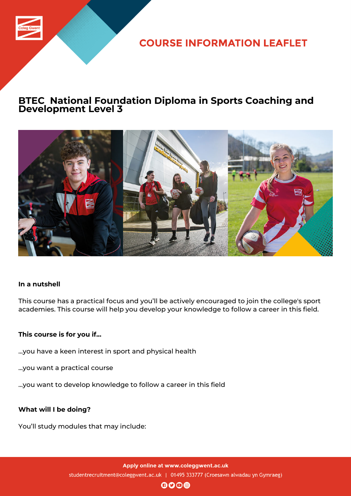

**COURSE INFORMATION LEAFLET** 

# **BTEC National Foundation Diploma in Sports Coaching and Development Level 3**



### **In a nutshell**

This course has a practical focus and you'll be actively encouraged to join the college's sport academies. This course will help you develop your knowledge to follow a career in this field.

### **This course is for you if...**

- ...you have a keen interest in sport and physical health
- ...you want a practical course
- ...you want to develop knowledge to follow a career in this field

### **What will I be doing?**

You'll study modules that may include:

Apply online at www.coleggwent.ac.uk studentrecruitment@coleggwent.ac.uk | 01495 333777 (Croesawn alwadau yn Gymraeg)

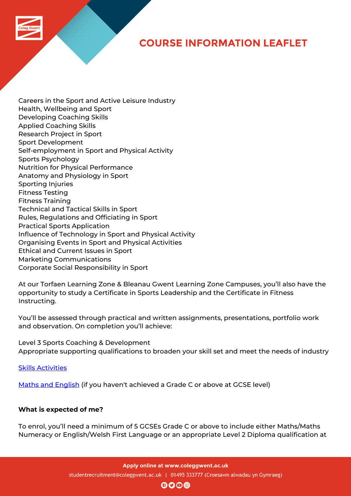# **COURSE INFORMATION LEAFLET**

Careers in the Sport and Active Leisure Industry Health, Wellbeing and Sport Developing Coaching Skills Applied Coaching Skills Research Project in Sport Sport Development Self-employment in Sport and Physical Activity Sports Psychology Nutrition for Physical Performance Anatomy and Physiology in Sport Sporting Injuries Fitness Testing Fitness Training Technical and Tactical Skills in Sport Rules, Regulations and Officiating in Sport Practical Sports Application Influence of Technology in Sport and Physical Activity Organising Events in Sport and Physical Activities Ethical and Current Issues in Sport Marketing Communications Corporate Social Responsibility in Sport

At our Torfaen Learning Zone & Bleanau Gwent Learning Zone Campuses, you'll also have the opportunity to study a Certificate in Sports Leadership and the Certificate in Fitness Instructing.

You'll be assessed through practical and written assignments, presentations, portfolio work and observation. On completion you'll achieve:

Level 3 Sports Coaching & Development Appropriate supporting qualifications to broaden your skill set and meet the needs of industry

Skills Activities

Maths and English (if you haven't achieved a Grade C or above at GCSE level)

### **[What is expected](http://www.coleggwent.ac.uk/index.php?option=com_content&view=article&id=2314) of me?**

To enrol, you'll need a minimum of 5 GCSEs Grade C or above to include either Maths/Maths Numeracy or English/Welsh First Language or an appropriate Level 2 Diploma qualification at

Apply online at www.coleggwent.ac.uk

studentrecruitment@coleggwent.ac.uk | 01495 333777 (Croesawn alwadau yn Gymraeg)